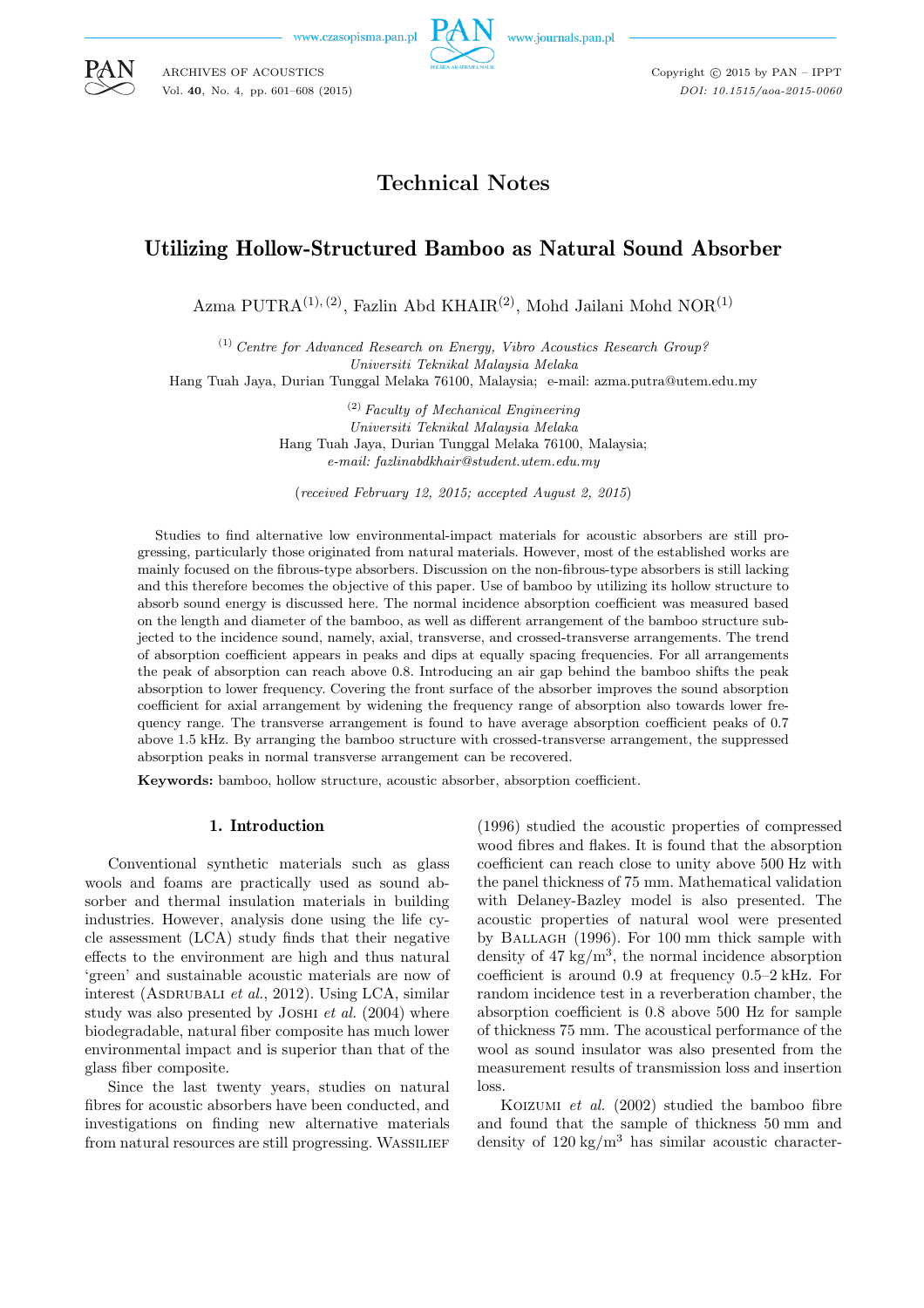www.czasopisma.pan.pl



Copyright  $\odot$  2015 by PAN - IPPT *DOI: 10.1515/aoa-2015-0060*

# **Technical Notes**

# Utilizing Hollow-Structured Bamboo as Natural Sound Absorber

Azma PUTRA<sup>(1), (2)</sup>, Fazlin Abd KHAIR<sup>(2)</sup>, Mohd Jailani Mohd NOR<sup>(1)</sup>

(1) *Centre for Advanced Research on Energy, Vibro Acoustics Research Group? Universiti Teknikal Malaysia Melaka* Hang Tuah Jaya, Durian Tunggal Melaka 76100, Malaysia; e-mail: azma.putra@utem.edu.my

> (2) *Faculty of Mechanical Engineering Universiti Teknikal Malaysia Melaka* Hang Tuah Jaya, Durian Tunggal Melaka 76100, Malaysia; *e-mail: fazlinabdkhair@student.utem.edu.my*

(*received February 12, 2015; accepted August 2, 2015*)

Studies to find alternative low environmental-impact materials for acoustic absorbers are still progressing, particularly those originated from natural materials. However, most of the established works are mainly focused on the fibrous-type absorbers. Discussion on the non-fibrous-type absorbers is still lacking and this therefore becomes the objective of this paper. Use of bamboo by utilizing its hollow structure to absorb sound energy is discussed here. The normal incidence absorption coefficient was measured based on the length and diameter of the bamboo, as well as different arrangement of the bamboo structure subjected to the incidence sound, namely, axial, transverse, and crossed-transverse arrangements. The trend of absorption coefficient appears in peaks and dips at equally spacing frequencies. For all arrangements the peak of absorption can reach above 0.8. Introducing an air gap behind the bamboo shifts the peak absorption to lower frequency. Covering the front surface of the absorber improves the sound absorption coefficient for axial arrangement by widening the frequency range of absorption also towards lower frequency range. The transverse arrangement is found to have average absorption coefficient peaks of 0.7 above 1.5 kHz. By arranging the bamboo structure with crossed-transverse arrangement, the suppressed absorption peaks in normal transverse arrangement can be recovered.

**Keywords:** bamboo, hollow structure, acoustic absorber, absorption coefficient.

#### 1. Introduction

Conventional synthetic materials such as glass wools and foams are practically used as sound absorber and thermal insulation materials in building industries. However, analysis done using the life cycle assessment (LCA) study finds that their negative effects to the environment are high and thus natural 'green' and sustainable acoustic materials are now of interest (ASDRUBALI *et al.*, 2012). Using LCA, similar study was also presented by Joshi *et al.* (2004) where biodegradable, natural fiber composite has much lower environmental impact and is superior than that of the glass fiber composite.

Since the last twenty years, studies on natural fibres for acoustic absorbers have been conducted, and investigations on finding new alternative materials from natural resources are still progressing. WASSILIEF

(1996) studied the acoustic properties of compressed wood fibres and flakes. It is found that the absorption coefficient can reach close to unity above 500 Hz with the panel thickness of 75 mm. Mathematical validation with Delaney-Bazley model is also presented. The acoustic properties of natural wool were presented by Ballagh (1996). For 100 mm thick sample with density of  $47 \text{ kg/m}^3$ , the normal incidence absorption coefficient is around 0.9 at frequency 0.5–2 kHz. For random incidence test in a reverberation chamber, the absorption coefficient is 0.8 above 500 Hz for sample of thickness 75 mm. The acoustical performance of the wool as sound insulator was also presented from the measurement results of transmission loss and insertion loss.

Koizumi *et al.* (2002) studied the bamboo fibre and found that the sample of thickness 50 mm and density of  $120 \text{ kg/m}^3$  has similar acoustic character-



ARCHIVES OF ACOUSTICS Vol. **40**, No. 4, pp. 601–608 (2015)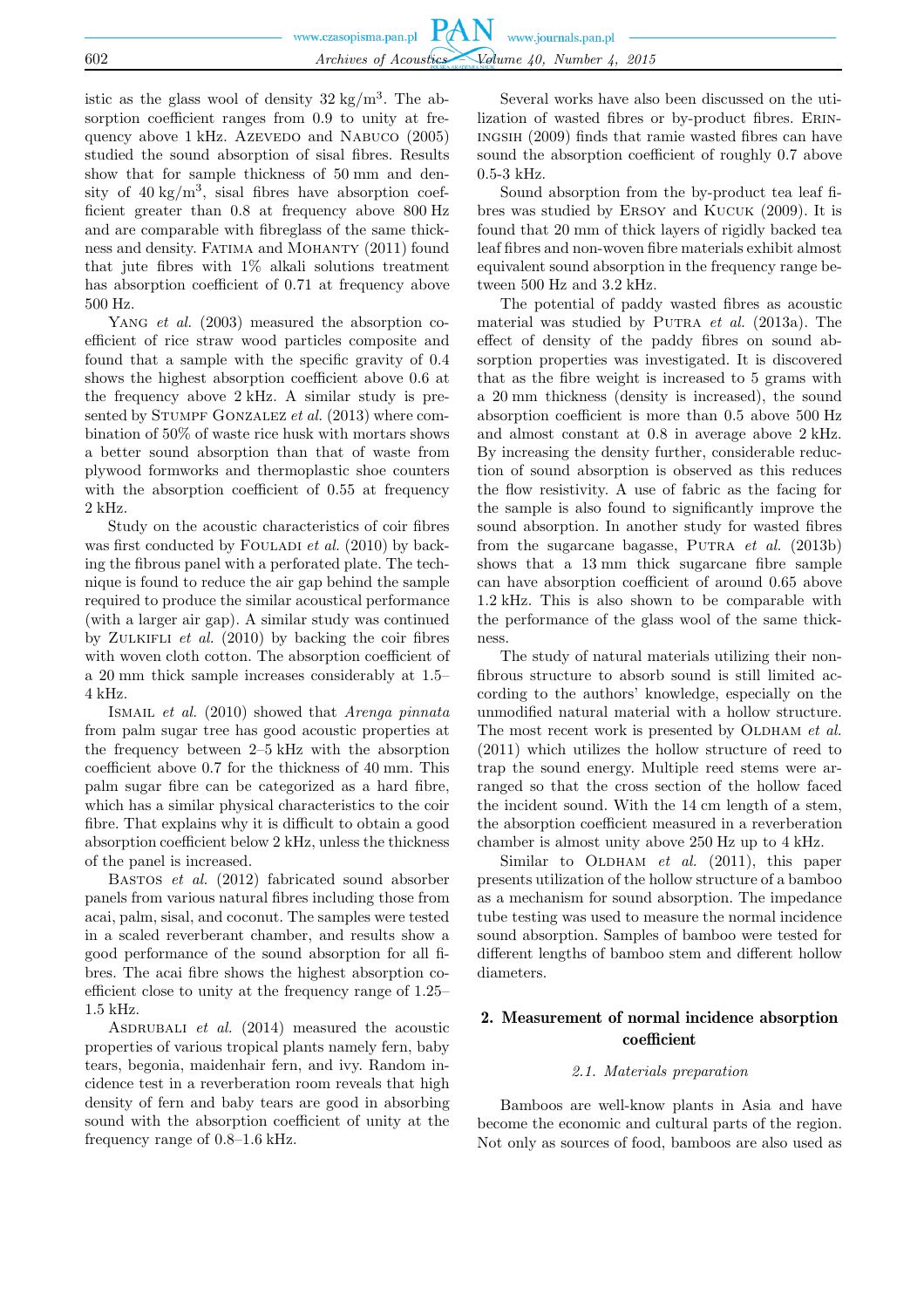|     | www.czasopisma.pan.pl $PAN$ www.journals.pan.pl |                                                 |  |
|-----|-------------------------------------------------|-------------------------------------------------|--|
| 602 |                                                 | Archives of Acoustics Volume 40, Number 4, 2015 |  |

istic as the glass wool of density  $32 \text{ kg/m}^3$ . The absorption coefficient ranges from 0.9 to unity at frequency above 1 kHz. AzEVEDO and NABUCO (2005) studied the sound absorption of sisal fibres. Results show that for sample thickness of 50 mm and density of  $40 \text{ kg/m}^3$ , sisal fibres have absorption coefficient greater than 0.8 at frequency above 800 Hz and are comparable with fibreglass of the same thickness and density. Fatima and Mohanty (2011) found that jute fibres with  $1\%$  alkali solutions treatment has absorption coefficient of 0.71 at frequency above 500 Hz.

YANG *et al.* (2003) measured the absorption coefficient of rice straw wood particles composite and found that a sample with the specific gravity of 0.4 shows the highest absorption coefficient above 0.6 at the frequency above 2 kHz. A similar study is presented by STUMPF GONZALEZ *et al.* (2013) where combination of 50% of waste rice husk with mortars shows a better sound absorption than that of waste from plywood formworks and thermoplastic shoe counters with the absorption coefficient of 0.55 at frequency 2 kHz.

Study on the acoustic characteristics of coir fibres was first conducted by FOULADI *et al.* (2010) by backing the fibrous panel with a perforated plate. The technique is found to reduce the air gap behind the sample required to produce the similar acoustical performance (with a larger air gap). A similar study was continued by Zulkifli *et al.* (2010) by backing the coir fibres with woven cloth cotton. The absorption coefficient of a 20 mm thick sample increases considerably at 1.5– 4 kHz.

Ismail *et al.* (2010) showed that *Arenga pinnata* from palm sugar tree has good acoustic properties at the frequency between 2–5 kHz with the absorption coefficient above 0.7 for the thickness of 40 mm. This palm sugar fibre can be categorized as a hard fibre, which has a similar physical characteristics to the coir fibre. That explains why it is difficult to obtain a good absorption coefficient below 2 kHz, unless the thickness of the panel is increased.

Bastos *et al.* (2012) fabricated sound absorber panels from various natural fibres including those from acai, palm, sisal, and coconut. The samples were tested in a scaled reverberant chamber, and results show a good performance of the sound absorption for all fibres. The acai fibre shows the highest absorption coefficient close to unity at the frequency range of 1.25– 1.5 kHz.

ASDRUBALI *et al.* (2014) measured the acoustic properties of various tropical plants namely fern, baby tears, begonia, maidenhair fern, and ivy. Random incidence test in a reverberation room reveals that high density of fern and baby tears are good in absorbing sound with the absorption coefficient of unity at the frequency range of 0.8–1.6 kHz.

Several works have also been discussed on the utilization of wasted fibres or by-product fibres. Eriningsih (2009) finds that ramie wasted fibres can have sound the absorption coefficient of roughly 0.7 above  $0.5-3$  kHz.

Sound absorption from the by-product tea leaf fibres was studied by Ersoy and Kucuk (2009). It is found that 20 mm of thick layers of rigidly backed tea leaf fibres and non-woven fibre materials exhibit almost equivalent sound absorption in the frequency range between 500 Hz and 3.2 kHz.

The potential of paddy wasted fibres as acoustic material was studied by Putra *et al.* (2013a). The effect of density of the paddy fibres on sound absorption properties was investigated. It is discovered that as the fibre weight is increased to 5 grams with a 20 mm thickness (density is increased), the sound absorption coefficient is more than 0.5 above 500 Hz and almost constant at 0.8 in average above 2 kHz. By increasing the density further, considerable reduction of sound absorption is observed as this reduces the flow resistivity. A use of fabric as the facing for the sample is also found to significantly improve the sound absorption. In another study for wasted fibres from the sugarcane bagasse, Putra *et al.* (2013b) shows that a 13 mm thick sugarcane fibre sample can have absorption coefficient of around 0.65 above 1.2 kHz. This is also shown to be comparable with the performance of the glass wool of the same thickness.

The study of natural materials utilizing their nonfibrous structure to absorb sound is still limited according to the authors' knowledge, especially on the unmodified natural material with a hollow structure. The most recent work is presented by OLDHAM *et al.* (2011) which utilizes the hollow structure of reed to trap the sound energy. Multiple reed stems were arranged so that the cross section of the hollow faced the incident sound. With the 14 cm length of a stem, the absorption coefficient measured in a reverberation chamber is almost unity above 250 Hz up to 4 kHz.

Similar to OLDHAM *et al.* (2011), this paper presents utilization of the hollow structure of a bamboo as a mechanism for sound absorption. The impedance tube testing was used to measure the normal incidence sound absorption. Samples of bamboo were tested for different lengths of bamboo stem and different hollow diameters.

## 2. Measurement of normal incidence absorption coefficient

## *2.1. Materials preparation*

Bamboos are well-know plants in Asia and have become the economic and cultural parts of the region. Not only as sources of food, bamboos are also used as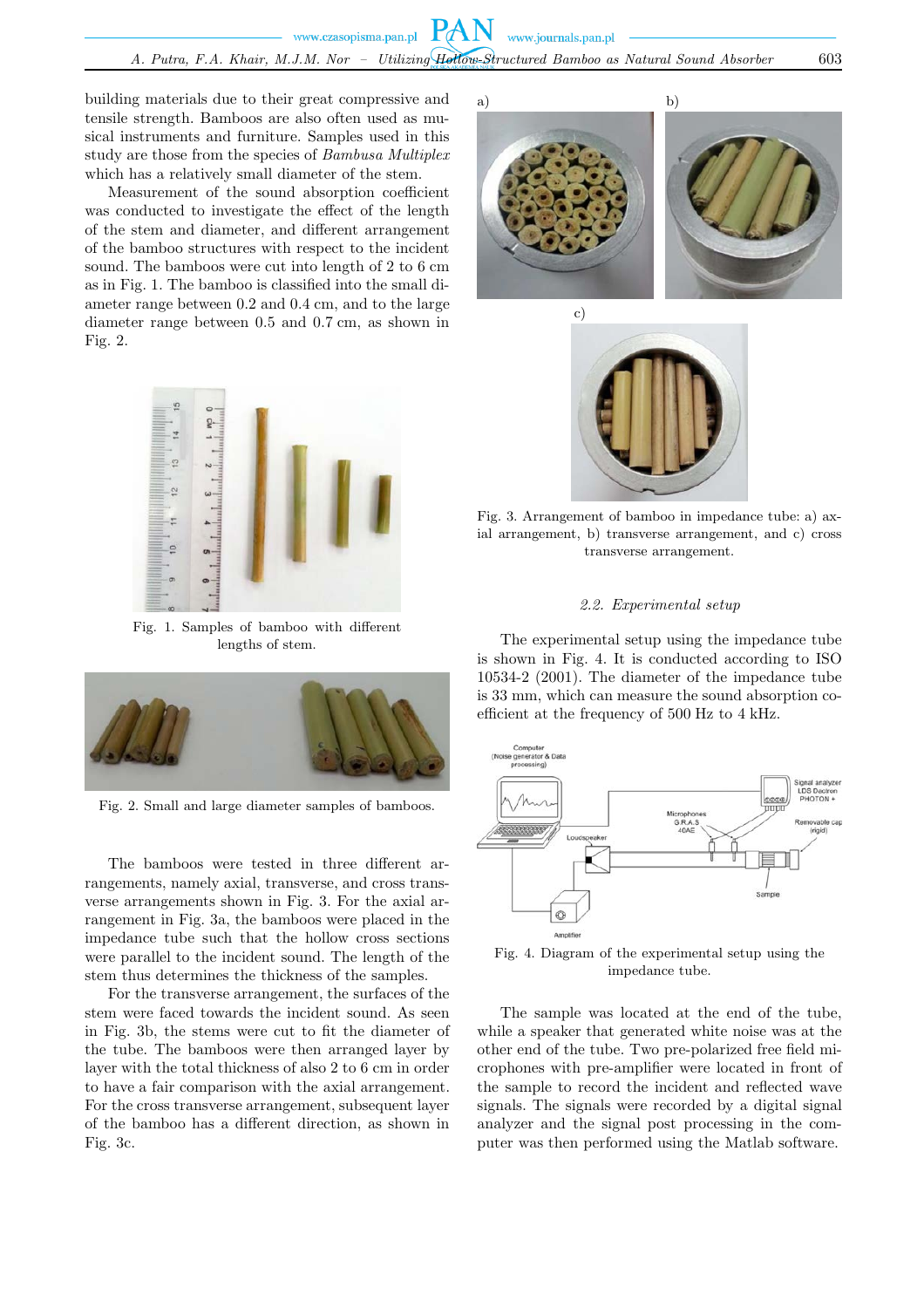building materials due to their great compressive and tensile strength. Bamboos are also often used as musical instruments and furniture. Samples used in this study are those from the species of *Bambusa Multiplex* which has a relatively small diameter of the stem.

Measurement of the sound absorption coefficient was conducted to investigate the effect of the length of the stem and diameter, and different arrangement of the bamboo structures with respect to the incident sound. The bamboos were cut into length of 2 to 6 cm as in Fig. 1. The bamboo is classified into the small diameter range between 0.2 and 0.4 cm, and to the large diameter range between 0.5 and 0.7 cm, as shown in Fig. 2.



Fig. 1. Samples of bamboo with different lengths of stem.



Fig. 2. Small and large diameter samples of bamboos.

The bamboos were tested in three different arrangements, namely axial, transverse, and cross transverse arrangements shown in Fig. 3. For the axial arrangement in Fig. 3a, the bamboos were placed in the impedance tube such that the hollow cross sections were parallel to the incident sound. The length of the stem thus determines the thickness of the samples.

For the transverse arrangement, the surfaces of the stem were faced towards the incident sound. As seen in Fig. 3b, the stems were cut to fit the diameter of the tube. The bamboos were then arranged layer by layer with the total thickness of also 2 to 6 cm in order to have a fair comparison with the axial arrangement. For the cross transverse arrangement, subsequent layer of the bamboo has a different direction, as shown in Fig. 3c.

a) b)



Fig. 3. Arrangement of bamboo in impedance tube: a) axial arrangement, b) transverse arrangement, and c) cross transverse arrangement.

## *2.2. Experimental setup*

The experimental setup using the impedance tube is shown in Fig. 4. It is conducted according to ISO 10534-2 (2001). The diameter of the impedance tube is 33 mm, which can measure the sound absorption coefficient at the frequency of 500 Hz to 4 kHz.



Fig. 4. Diagram of the experimental setup using the impedance tube.

The sample was located at the end of the tube, while a speaker that generated white noise was at the other end of the tube. Two pre-polarized free field microphones with pre-amplifier were located in front of the sample to record the incident and reflected wave signals. The signals were recorded by a digital signal analyzer and the signal post processing in the computer was then performed using the Matlab software.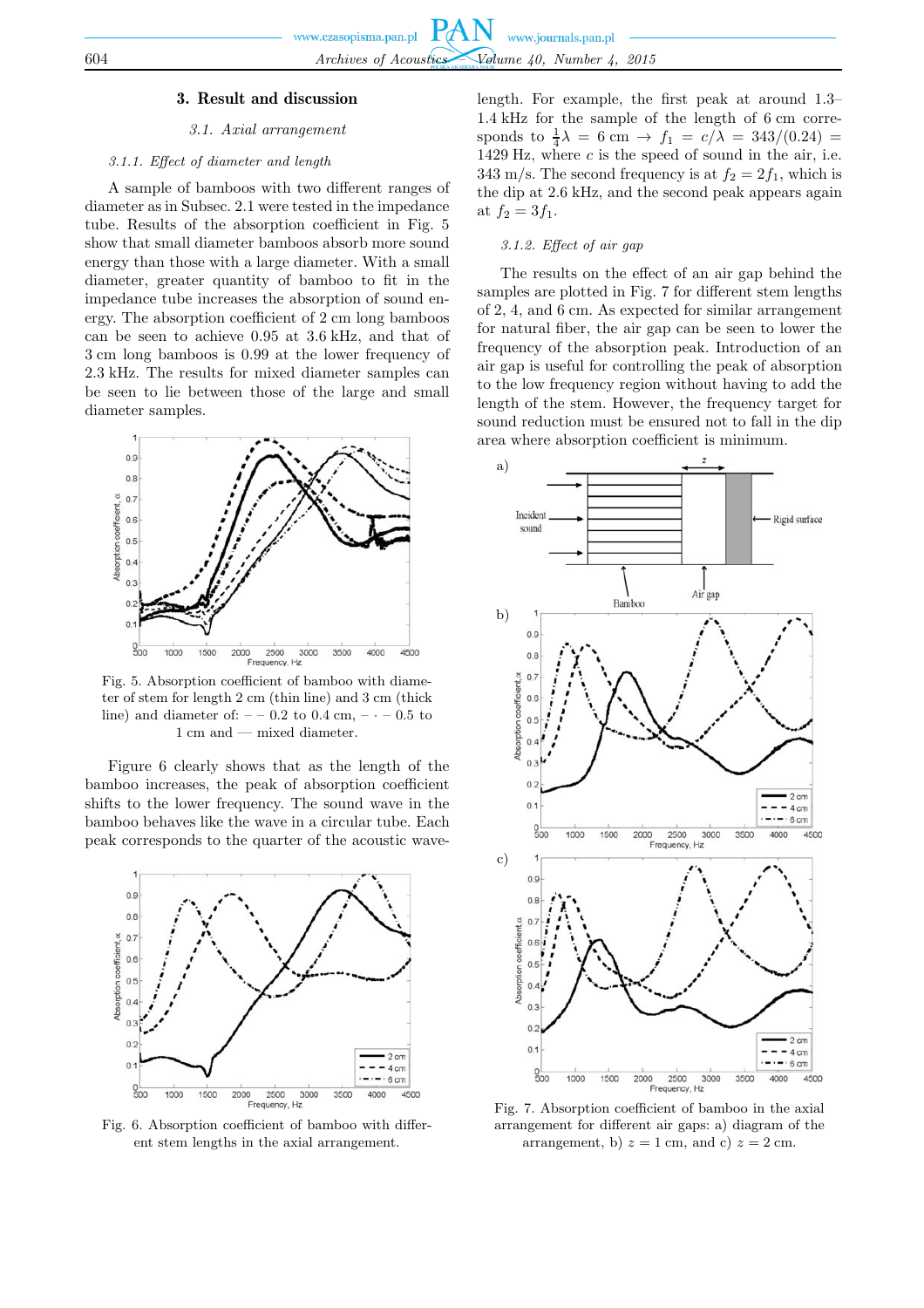#### 3. Result and discussion

#### *3.1. Axial arrangement*

## *3.1.1. Effect of diameter and length*

A sample of bamboos with two different ranges of diameter as in Subsec. 2.1 were tested in the impedance tube. Results of the absorption coefficient in Fig. 5 show that small diameter bamboos absorb more sound energy than those with a large diameter. With a small diameter, greater quantity of bamboo to fit in the impedance tube increases the absorption of sound energy. The absorption coefficient of 2 cm long bamboos can be seen to achieve 0.95 at 3.6 kHz, and that of 3 cm long bamboos is 0.99 at the lower frequency of 2.3 kHz. The results for mixed diameter samples can be seen to lie between those of the large and small diameter samples.



Fig. 5. Absorption coefficient of bamboo with diameter of stem for length 2 cm (thin line) and 3 cm (thick line) and diameter of:  $- -0.2$  to  $0.4$  cm,  $- -0.5$  to 1 cm and — mixed diameter.

Figure 6 clearly shows that as the length of the bamboo increases, the peak of absorption coefficient shifts to the lower frequency. The sound wave in the bamboo behaves like the wave in a circular tube. Each peak corresponds to the quarter of the acoustic wave-



Fig. 6. Absorption coefficient of bamboo with different stem lengths in the axial arrangement.

length. For example, the first peak at around 1.3– 1.4 kHz for the sample of the length of 6 cm corresponds to  $\frac{1}{4}\lambda = 6$  cm  $\rightarrow f_1 = c/\lambda = 343/(0.24)$  = 1429 Hz, where  $c$  is the speed of sound in the air, i.e. 343 m/s. The second frequency is at  $f_2 = 2f_1$ , which is the dip at 2.6 kHz, and the second peak appears again at  $f_2 = 3f_1$ .

## *3.1.2. Effect of air gap*

The results on the effect of an air gap behind the samples are plotted in Fig. 7 for different stem lengths of 2, 4, and 6 cm. As expected for similar arrangement for natural fiber, the air gap can be seen to lower the frequency of the absorption peak. Introduction of an air gap is useful for controlling the peak of absorption to the low frequency region without having to add the length of the stem. However, the frequency target for sound reduction must be ensured not to fall in the dip area where absorption coefficient is minimum.



Fig. 7. Absorption coefficient of bamboo in the axial arrangement for different air gaps: a) diagram of the arrangement, b)  $z = 1$  cm, and c)  $z = 2$  cm.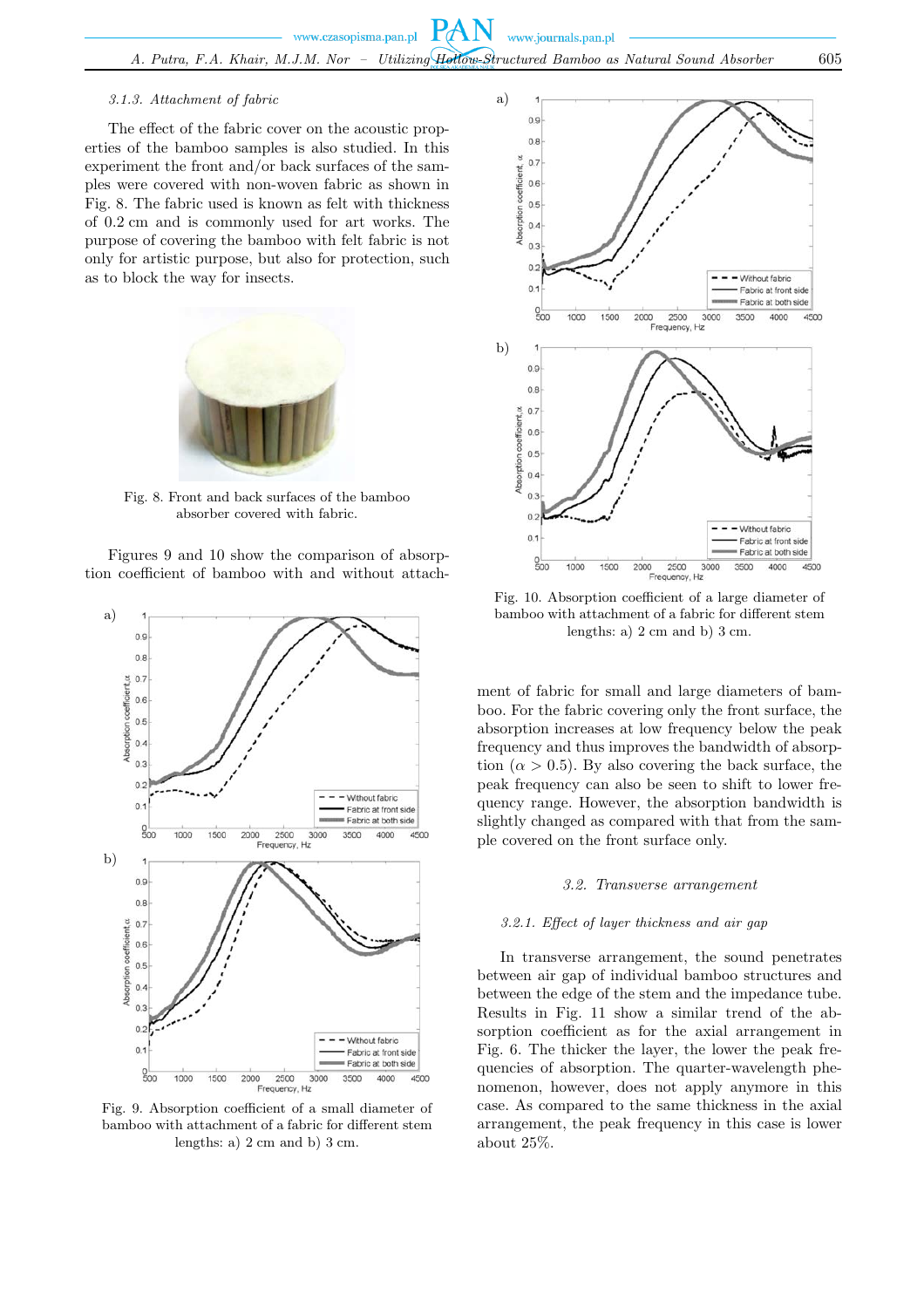## *3.1.3. Attachment of fabric*

The effect of the fabric cover on the acoustic properties of the bamboo samples is also studied. In this experiment the front and/or back surfaces of the samples were covered with non-woven fabric as shown in Fig. 8. The fabric used is known as felt with thickness of 0.2 cm and is commonly used for art works. The purpose of covering the bamboo with felt fabric is not only for artistic purpose, but also for protection, such as to block the way for insects.



Fig. 8. Front and back surfaces of the bamboo absorber covered with fabric.

Figures 9 and 10 show the comparison of absorption coefficient of bamboo with and without attach-



Fig. 9. Absorption coefficient of a small diameter of bamboo with attachment of a fabric for different stem lengths: a) 2 cm and b) 3 cm.



Fig. 10. Absorption coefficient of a large diameter of bamboo with attachment of a fabric for different stem lengths: a) 2 cm and b) 3 cm.

ment of fabric for small and large diameters of bamboo. For the fabric covering only the front surface, the absorption increases at low frequency below the peak frequency and thus improves the bandwidth of absorption  $(\alpha > 0.5)$ . By also covering the back surface, the peak frequency can also be seen to shift to lower frequency range. However, the absorption bandwidth is slightly changed as compared with that from the sample covered on the front surface only.

#### *3.2. Transverse arrangement*

#### *3.2.1. Effect of layer thickness and air gap*

In transverse arrangement, the sound penetrates between air gap of individual bamboo structures and between the edge of the stem and the impedance tube. Results in Fig. 11 show a similar trend of the absorption coefficient as for the axial arrangement in Fig. 6. The thicker the layer, the lower the peak frequencies of absorption. The quarter-wavelength phenomenon, however, does not apply anymore in this case. As compared to the same thickness in the axial arrangement, the peak frequency in this case is lower about 25%.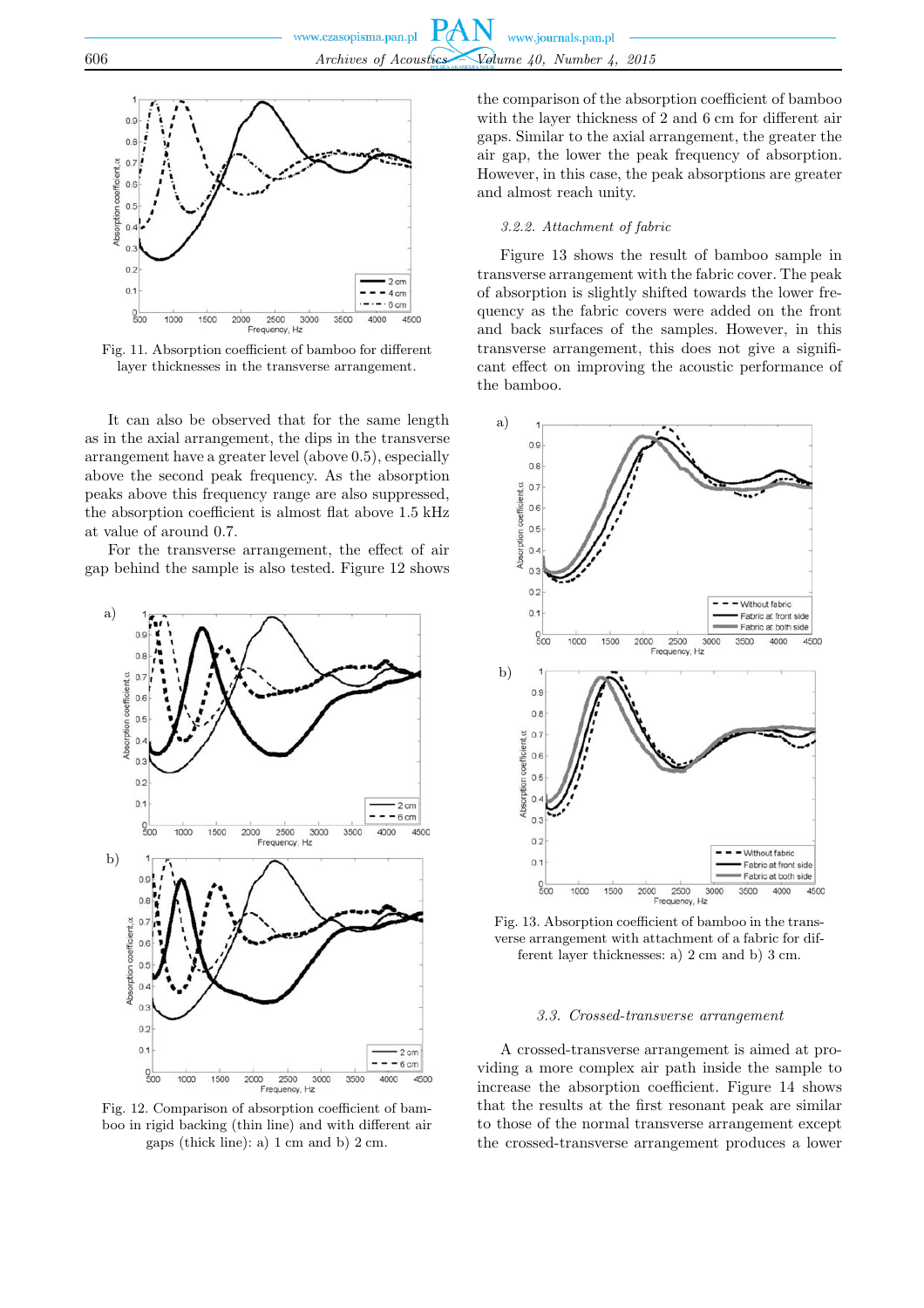

Fig. 11. Absorption coefficient of bamboo for different layer thicknesses in the transverse arrangement.

It can also be observed that for the same length as in the axial arrangement, the dips in the transverse arrangement have a greater level (above 0.5), especially above the second peak frequency. As the absorption peaks above this frequency range are also suppressed, the absorption coefficient is almost flat above 1.5 kHz at value of around 0.7.

For the transverse arrangement, the effect of air gap behind the sample is also tested. Figure 12 shows



Fig. 12. Comparison of absorption coefficient of bamboo in rigid backing (thin line) and with different air gaps (thick line): a) 1 cm and b) 2 cm.

the comparison of the absorption coefficient of bamboo with the layer thickness of 2 and 6 cm for different air gaps. Similar to the axial arrangement, the greater the air gap, the lower the peak frequency of absorption. However, in this case, the peak absorptions are greater and almost reach unity.

## *3.2.2. Attachment of fabric*

Figure 13 shows the result of bamboo sample in transverse arrangement with the fabric cover. The peak of absorption is slightly shifted towards the lower frequency as the fabric covers were added on the front and back surfaces of the samples. However, in this transverse arrangement, this does not give a significant effect on improving the acoustic performance of the bamboo.



Fig. 13. Absorption coefficient of bamboo in the transverse arrangement with attachment of a fabric for different layer thicknesses: a) 2 cm and b) 3 cm.

#### *3.3. Crossed-transverse arrangement*

A crossed-transverse arrangement is aimed at providing a more complex air path inside the sample to increase the absorption coefficient. Figure 14 shows that the results at the first resonant peak are similar to those of the normal transverse arrangement except the crossed-transverse arrangement produces a lower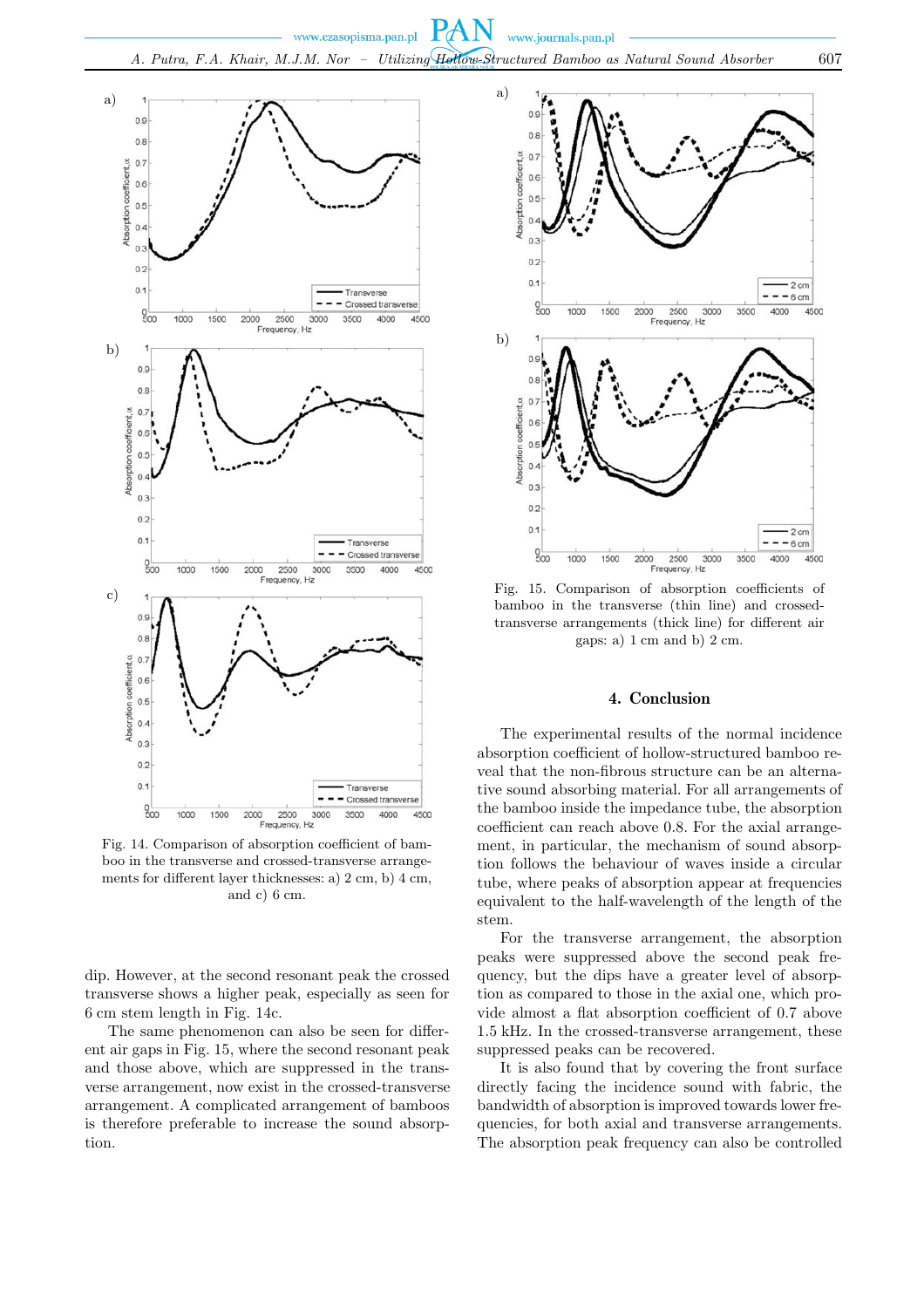

Fig. 14. Comparison of absorption coefficient of bamboo in the transverse and crossed-transverse arrangements for different layer thicknesses: a) 2 cm, b) 4 cm, and c) 6 cm.

dip. However, at the second resonant peak the crossed transverse shows a higher peak, especially as seen for 6 cm stem length in Fig. 14c.

The same phenomenon can also be seen for different air gaps in Fig. 15, where the second resonant peak and those above, which are suppressed in the transverse arrangement, now exist in the crossed-transverse arrangement. A complicated arrangement of bamboos is therefore preferable to increase the sound absorption.



Fig. 15. Comparison of absorption coefficients of bamboo in the transverse (thin line) and crossedtransverse arrangements (thick line) for different air gaps: a) 1 cm and b) 2 cm.

## 4. Conclusion

The experimental results of the normal incidence absorption coefficient of hollow-structured bamboo reveal that the non-fibrous structure can be an alternative sound absorbing material. For all arrangements of the bamboo inside the impedance tube, the absorption coefficient can reach above 0.8. For the axial arrangement, in particular, the mechanism of sound absorption follows the behaviour of waves inside a circular tube, where peaks of absorption appear at frequencies equivalent to the half-wavelength of the length of the stem.

For the transverse arrangement, the absorption peaks were suppressed above the second peak frequency, but the dips have a greater level of absorption as compared to those in the axial one, which provide almost a flat absorption coefficient of 0.7 above 1.5 kHz. In the crossed-transverse arrangement, these suppressed peaks can be recovered.

It is also found that by covering the front surface directly facing the incidence sound with fabric, the bandwidth of absorption is improved towards lower frequencies, for both axial and transverse arrangements. The absorption peak frequency can also be controlled